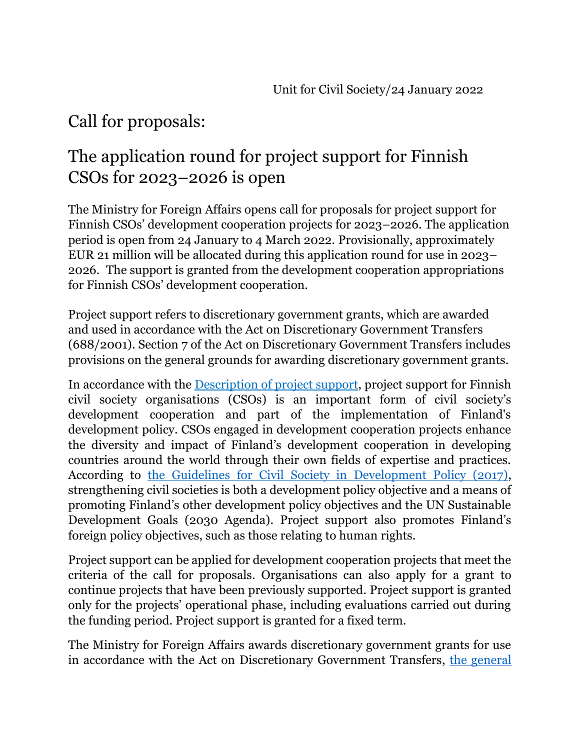# Call for proposals:

# The application round for project support for Finnish CSOs for 2023–2026 is open

The Ministry for Foreign Affairs opens call for proposals for project support for Finnish CSOs' development cooperation projects for 2023–2026. The application period is open from 24 January to 4 March 2022. Provisionally, approximately EUR 21 million will be allocated during this application round for use in 2023– 2026. The support is granted from the development cooperation appropriations for Finnish CSOs' development cooperation.

Project support refers to discretionary government grants, which are awarded and used in accordance with the Act on Discretionary Government Transfers (688/2001). Section 7 of the Act on Discretionary Government Transfers includes provisions on the general grounds for awarding discretionary government grants.

In accordance with the [Description of project support,](https://um.fi/documents/397000/0/Hanketuen_instrumenttikuvaus_en_FINAL.pdf/5f72f6d4-fc46-0df3-79d6-3e2ca2c4287c?t=1637574059504) project support for Finnish civil society organisations (CSOs) is an important form of civil society's development cooperation and part of the implementation of Finland's development policy. CSOs engaged in development cooperation projects enhance the diversity and impact of Finland's development cooperation in developing countries around the world through their own fields of expertise and practices. According to [the Guidelines for Civil Society in Development Policy \(2017\),](https://um.fi/documents/35732/0/Guidelines+for+civil+society+in+development+policy.pdf/4a19a2aa-76fd-020e-224d-ecd98045206f?t=1534925676147) strengthening civil societies is both a development policy objective and a means of promoting Finland's other development policy objectives and the UN Sustainable Development Goals (2030 Agenda). Project support also promotes Finland's foreign policy objectives, such as those relating to human rights.

Project support can be applied for development cooperation projects that meet the criteria of the call for proposals. Organisations can also apply for a grant to continue projects that have been previously supported. Project support is granted only for the projects' operational phase, including evaluations carried out during the funding period. Project support is granted for a fixed term.

The Ministry for Foreign Affairs awards discretionary government grants for use in accordance with the Act on Discretionary Government Transfers, [the general](https://um.fi/documents/397000/0/JULKAISUVERSIO+Yleisehdot+ja+hanketuen+lisaehdot+ENGLANNIKSI.pdf/4343a36a-c5b4-38a8-35a9-3eb6820f6b72?t=1642768973580)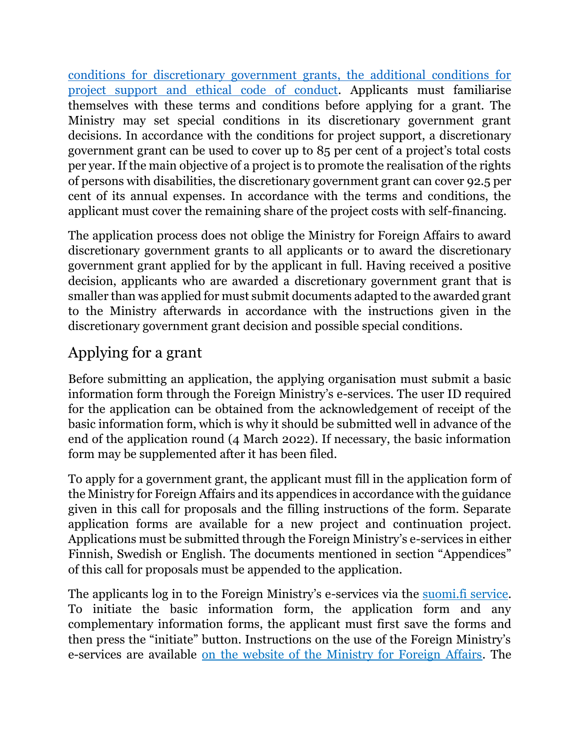[conditions for discretionary government grants, the additional conditions for](https://um.fi/documents/397000/0/JULKAISUVERSIO+Yleisehdot+ja+hanketuen+lisaehdot+ENGLANNIKSI.pdf/4343a36a-c5b4-38a8-35a9-3eb6820f6b72?t=1642768973580)  [project support and ethical code of conduct.](https://um.fi/documents/397000/0/JULKAISUVERSIO+Yleisehdot+ja+hanketuen+lisaehdot+ENGLANNIKSI.pdf/4343a36a-c5b4-38a8-35a9-3eb6820f6b72?t=1642768973580) Applicants must familiarise themselves with these terms and conditions before applying for a grant. The Ministry may set special conditions in its discretionary government grant decisions. In accordance with the conditions for project support, a discretionary government grant can be used to cover up to 85 per cent of a project's total costs per year. If the main objective of a project is to promote the realisation of the rights of persons with disabilities, the discretionary government grant can cover 92.5 per cent of its annual expenses. In accordance with the terms and conditions, the applicant must cover the remaining share of the project costs with self-financing.

The application process does not oblige the Ministry for Foreign Affairs to award discretionary government grants to all applicants or to award the discretionary government grant applied for by the applicant in full. Having received a positive decision, applicants who are awarded a discretionary government grant that is smaller than was applied for must submit documents adapted to the awarded grant to the Ministry afterwards in accordance with the instructions given in the discretionary government grant decision and possible special conditions.

## Applying for a grant

Before submitting an application, the applying organisation must submit a basic information form through the Foreign Ministry's e-services. The user ID required for the application can be obtained from the acknowledgement of receipt of the basic information form, which is why it should be submitted well in advance of the end of the application round (4 March 2022). If necessary, the basic information form may be supplemented after it has been filed.

To apply for a government grant, the applicant must fill in the application form of the Ministry for Foreign Affairs and its appendices in accordance with the guidance given in this call for proposals and the filling instructions of the form. Separate application forms are available for a new project and continuation project. Applications must be submitted through the Foreign Ministry's e-services in either Finnish, Swedish or English. The documents mentioned in section "Appendices" of this call for proposals must be appended to the application.

The applicants log in to the Foreign Ministry's e-services via the [suomi.fi service.](https://www.suomi.fi/frontpage) To initiate the basic information form, the application form and any complementary information forms, the applicant must first save the forms and then press the "initiate" button. Instructions on the use of the Foreign Ministry's e-services are available [on the website of the Ministry for Foreign Affairs.](https://um.fi/e-service-for-civil-society-organisations) The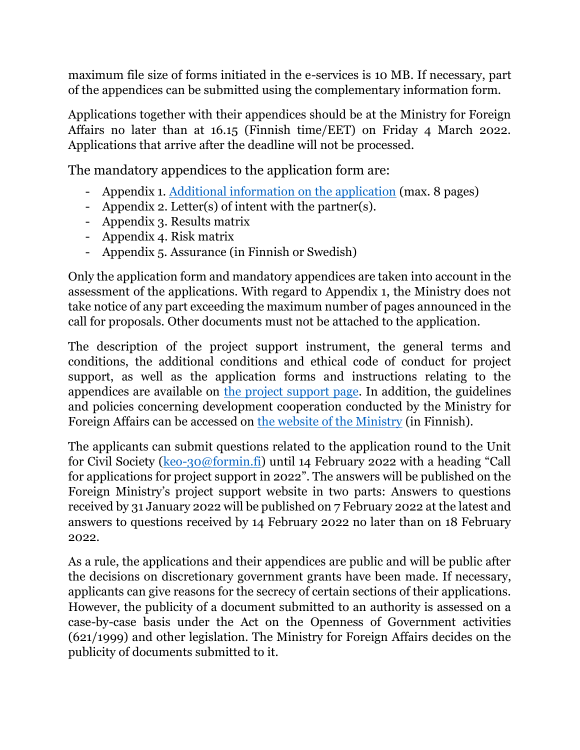maximum file size of forms initiated in the e-services is 10 MB. If necessary, part of the appendices can be submitted using the complementary information form.

Applications together with their appendices should be at the Ministry for Foreign Affairs no later than at 16.15 (Finnish time/EET) on Friday 4 March 2022. Applications that arrive after the deadline will not be processed.

The mandatory appendices to the application form are:

- Appendix 1. [Additional information on the application](https://um.fi/documents/397000/0/JULKAISUVERSIO+Hanketuen+hakemus_liite_en.docx/f60615d5-a23b-32f5-ac01-cbb680746d0b?t=1643011121131) (max. 8 pages)
- Appendix 2. Letter(s) of intent with the partner(s).
- Appendix 3. Results matrix
- Appendix 4. Risk matrix
- Appendix 5. Assurance (in Finnish or Swedish)

Only the application form and mandatory appendices are taken into account in the assessment of the applications. With regard to Appendix 1, the Ministry does not take notice of any part exceeding the maximum number of pages announced in the call for proposals. Other documents must not be attached to the application.

The description of the project support instrument, the general terms and conditions, the additional conditions and ethical code of conduct for project support, as well as the application forms and instructions relating to the appendices are available on [the project support page.](https://um.fi/project-support-to-civil-society-organisations) In addition, the guidelines and policies concerning development cooperation conducted by the Ministry for Foreign Affairs can be accessed on [the website of the Ministry](https://um.fi/kehitysyhteistyon-linjauksia-ohjeita-ja-lainsaadantoa) (in Finnish).

The applicants can submit questions related to the application round to the Unit for Civil Society [\(keo-30@formin.fi](mailto:keo-30@formin.fi)) until 14 February 2022 with a heading "Call for applications for project support in 2022". The answers will be published on the Foreign Ministry's project support website in two parts: Answers to questions received by 31 January 2022 will be published on 7 February 2022 at the latest and answers to questions received by 14 February 2022 no later than on 18 February 2022.

As a rule, the applications and their appendices are public and will be public after the decisions on discretionary government grants have been made. If necessary, applicants can give reasons for the secrecy of certain sections of their applications. However, the publicity of a document submitted to an authority is assessed on a case-by-case basis under the Act on the Openness of Government activities (621/1999) and other legislation. The Ministry for Foreign Affairs decides on the publicity of documents submitted to it.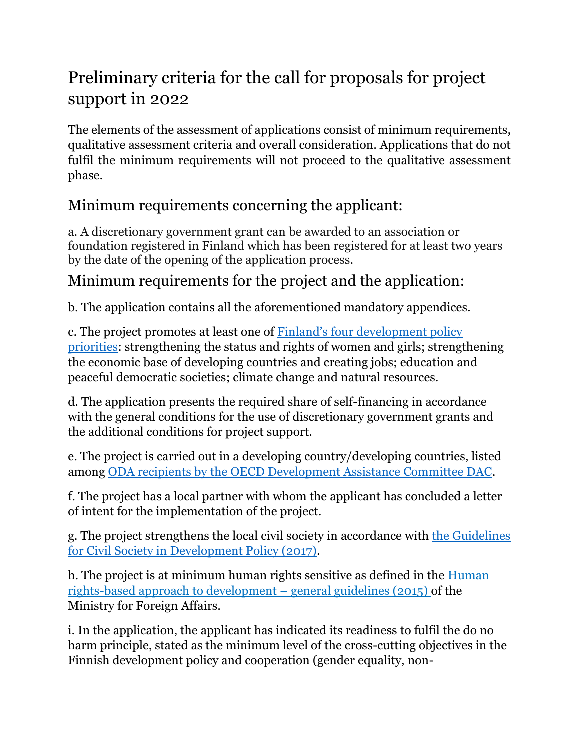# Preliminary criteria for the call for proposals for project support in 2022

The elements of the assessment of applications consist of minimum requirements, qualitative assessment criteria and overall consideration. Applications that do not fulfil the minimum requirements will not proceed to the qualitative assessment phase.

#### Minimum requirements concerning the applicant:

a. A discretionary government grant can be awarded to an association or foundation registered in Finland which has been registered for at least two years by the date of the opening of the application process.

### Minimum requirements for the project and the application:

b. The application contains all the aforementioned mandatory appendices.

c. The project promotes at least one of **Finland's four development policy** [priorities:](https://um.fi/publications/-/asset_publisher/TVOLgBmLyZvu/content/suomen-kehityspolitiikan-tuloskartat-ja-indikaattorit-2020) strengthening the status and rights of women and girls; strengthening the economic base of developing countries and creating jobs; education and peaceful democratic societies; climate change and natural resources.

d. The application presents the required share of self-financing in accordance with the general conditions for the use of discretionary government grants and the additional conditions for project support.

e. The project is carried out in a developing country/developing countries, listed among [ODA recipients by the OECD Development Assistance Committee DAC.](https://www.oecd.org/dac/financing-sustainable-development/development-finance-standards/DAC-List-of-ODA-Recipients-for-reporting-2022-23-flows.pdf)

f. The project has a local partner with whom the applicant has concluded a letter of intent for the implementation of the project.

g. The project strengthens the local civil society in accordance with [the Guidelines](https://um.fi/documents/35732/0/Guidelines+for+civil+society+in+development+policy.pdf/4a19a2aa-76fd-020e-224d-ecd98045206f?t=1534925676147)  [for Civil Society in Development Policy \(2017\).](https://um.fi/documents/35732/0/Guidelines+for+civil+society+in+development+policy.pdf/4a19a2aa-76fd-020e-224d-ecd98045206f?t=1534925676147)

h. The project is at minimum human rights sensitive as defined in the [Human](https://um.fi/documents/35732/48132/human_rights_based_approach_in_finlands_development_cooperation___guidance)  [rights-based approach to development](https://um.fi/documents/35732/48132/human_rights_based_approach_in_finlands_development_cooperation___guidance) – general guidelines (2015) of the [Ministry for Foreign Affairs.](https://um.fi/documents/35732/48132/human_rights_based_approach_in_finlands_development_cooperation___guidance)

i. In the application, the applicant has indicated its readiness to fulfil the do no harm principle, stated as the minimum level of the cross-cutting objectives in the Finnish development policy and cooperation (gender equality, non-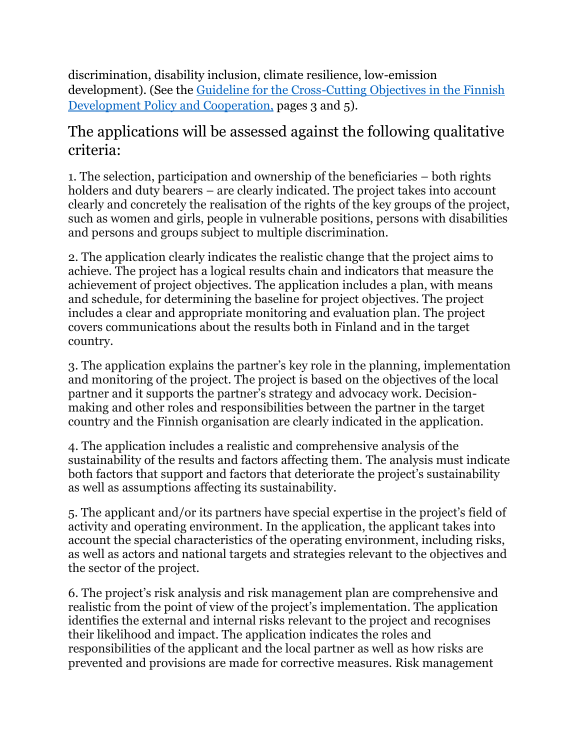discrimination, disability inclusion, climate resilience, low-emission development). (See the [Guideline for the Cross-Cutting Objectives in the Finnish](https://um.fi/documents/35732/0/Guideline+for+the+Cross-Cutting+Objectives+in+the+Finnish+Development+Policy+and+Cooperation.pdf/e9e8a940-a382-c3d5-3c5f-dc8e7455576b?t=1618230452564) [Development Policy and Cooperation,](https://um.fi/documents/35732/0/Guideline+for+the+Cross-Cutting+Objectives+in+the+Finnish+Development+Policy+and+Cooperation.pdf/e9e8a940-a382-c3d5-3c5f-dc8e7455576b?t=1618230452564) pages 3 and 5).

#### The applications will be assessed against the following qualitative criteria:

1. The selection, participation and ownership of the beneficiaries – both rights holders and duty bearers – are clearly indicated. The project takes into account clearly and concretely the realisation of the rights of the key groups of the project, such as women and girls, people in vulnerable positions, persons with disabilities and persons and groups subject to multiple discrimination.

2. The application clearly indicates the realistic change that the project aims to achieve. The project has a logical results chain and indicators that measure the achievement of project objectives. The application includes a plan, with means and schedule, for determining the baseline for project objectives. The project includes a clear and appropriate monitoring and evaluation plan. The project covers communications about the results both in Finland and in the target country.

3. The application explains the partner's key role in the planning, implementation and monitoring of the project. The project is based on the objectives of the local partner and it supports the partner's strategy and advocacy work. Decisionmaking and other roles and responsibilities between the partner in the target country and the Finnish organisation are clearly indicated in the application.

4. The application includes a realistic and comprehensive analysis of the sustainability of the results and factors affecting them. The analysis must indicate both factors that support and factors that deteriorate the project's sustainability as well as assumptions affecting its sustainability.

5. The applicant and/or its partners have special expertise in the project's field of activity and operating environment. In the application, the applicant takes into account the special characteristics of the operating environment, including risks, as well as actors and national targets and strategies relevant to the objectives and the sector of the project.

6. The project's risk analysis and risk management plan are comprehensive and realistic from the point of view of the project's implementation. The application identifies the external and internal risks relevant to the project and recognises their likelihood and impact. The application indicates the roles and responsibilities of the applicant and the local partner as well as how risks are prevented and provisions are made for corrective measures. Risk management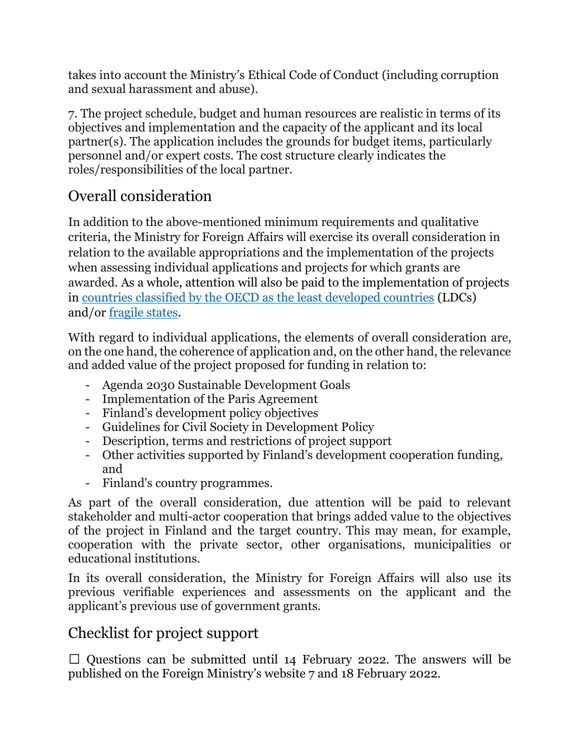takes into account the Ministry's Ethical Code of Conduct (including corruption and sexual harassment and abuse).

7. The project schedule, budget and human resources are realistic in terms of its objectives and implementation and the capacity of the applicant and its local partner(s). The application includes the grounds for budget items, particularly personnel and/or expert costs. The cost structure clearly indicates the roles/responsibilities of the local partner.

### Overall consideration

In addition to the above-mentioned minimum requirements and qualitative criteria, the Ministry for Foreign Affairs will exercise its overall consideration in relation to the available appropriations and the implementation of the projects when assessing individual applications and projects for which grants are awarded. As a whole, attention will also be paid to the implementation of projects in [countries classified by the OECD as the least developed countries](https://www.oecd.org/dac/financing-sustainable-development/development-finance-standards/DAC-List-of-ODA-Recipients-for-reporting-2022-23-flows.pdf) (LDCs) and/or [fragile states.](https://www.oecd.org/dac/states-of-fragility-fa5a6770-en.htm)

With regard to individual applications, the elements of overall consideration are, on the one hand, the coherence of application and, on the other hand, the relevance and added value of the project proposed for funding in relation to:

- Agenda 2030 Sustainable Development Goals
- Implementation of the Paris Agreement
- Finland's development policy objectives
- Guidelines for Civil Society in Development Policy
- Description, terms and restrictions of project support
- Other activities supported by Finland's development cooperation funding, and
- Finland's country programmes.

As part of the overall consideration, due attention will be paid to relevant stakeholder and multi-actor cooperation that brings added value to the objectives of the project in Finland and the target country. This may mean, for example, cooperation with the private sector, other organisations, municipalities or educational institutions.

In its overall consideration, the Ministry for Foreign Affairs will also use its previous verifiable experiences and assessments on the applicant and the applicant's previous use of government grants.

#### Checklist for project support

 $\Box$  Questions can be submitted until 14 February 2022. The answers will be published on the Foreign Ministry's website 7 and 18 February 2022.